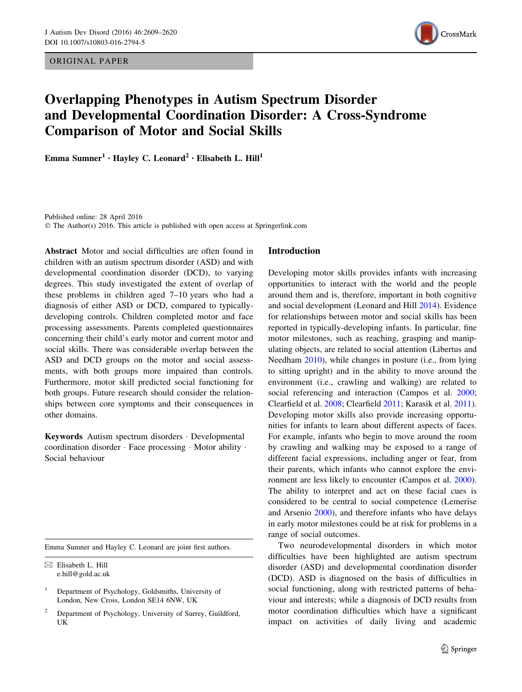ORIGINAL PAPER



# Overlapping Phenotypes in Autism Spectrum Disorder and Developmental Coordination Disorder: A Cross-Syndrome Comparison of Motor and Social Skills

Emma Sumner<sup>1</sup> · Hayley C. Leonard<sup>2</sup> · Elisabeth L. Hill<sup>1</sup>

Published online: 28 April 2016 © The Author(s) 2016. This article is published with open access at Springerlink.com

Abstract Motor and social difficulties are often found in children with an autism spectrum disorder (ASD) and with developmental coordination disorder (DCD), to varying degrees. This study investigated the extent of overlap of these problems in children aged 7–10 years who had a diagnosis of either ASD or DCD, compared to typicallydeveloping controls. Children completed motor and face processing assessments. Parents completed questionnaires concerning their child's early motor and current motor and social skills. There was considerable overlap between the ASD and DCD groups on the motor and social assessments, with both groups more impaired than controls. Furthermore, motor skill predicted social functioning for both groups. Future research should consider the relationships between core symptoms and their consequences in other domains.

Keywords Autism spectrum disorders - Developmental coordination disorder - Face processing - Motor ability - Social behaviour

Emma Sumner and Hayley C. Leonard are joint first authors.

 $\boxtimes$  Elisabeth L. Hill e.hill@gold.ac.uk

<sup>1</sup> Department of Psychology, Goldsmiths, University of London, New Cross, London SE14 6NW, UK

<sup>2</sup> Department of Psychology, University of Surrey, Guildford, UK

## Introduction

Developing motor skills provides infants with increasing opportunities to interact with the world and the people around them and is, therefore, important in both cognitive and social development (Leonard and Hill [2014](#page-10-0)). Evidence for relationships between motor and social skills has been reported in typically-developing infants. In particular, fine motor milestones, such as reaching, grasping and manipulating objects, are related to social attention (Libertus and Needham [2010](#page-10-0)), while changes in posture (i.e., from lying to sitting upright) and in the ability to move around the environment (i.e., crawling and walking) are related to social referencing and interaction (Campos et al. [2000](#page-10-0); Clearfield et al. [2008](#page-10-0); Clearfield [2011;](#page-10-0) Karasik et al. [2011](#page-10-0)). Developing motor skills also provide increasing opportunities for infants to learn about different aspects of faces. For example, infants who begin to move around the room by crawling and walking may be exposed to a range of different facial expressions, including anger or fear, from their parents, which infants who cannot explore the environment are less likely to encounter (Campos et al. [2000](#page-10-0)). The ability to interpret and act on these facial cues is considered to be central to social competence (Lemerise and Arsenio [2000\)](#page-10-0), and therefore infants who have delays in early motor milestones could be at risk for problems in a range of social outcomes.

Two neurodevelopmental disorders in which motor difficulties have been highlighted are autism spectrum disorder (ASD) and developmental coordination disorder (DCD). ASD is diagnosed on the basis of difficulties in social functioning, along with restricted patterns of behaviour and interests; while a diagnosis of DCD results from motor coordination difficulties which have a significant impact on activities of daily living and academic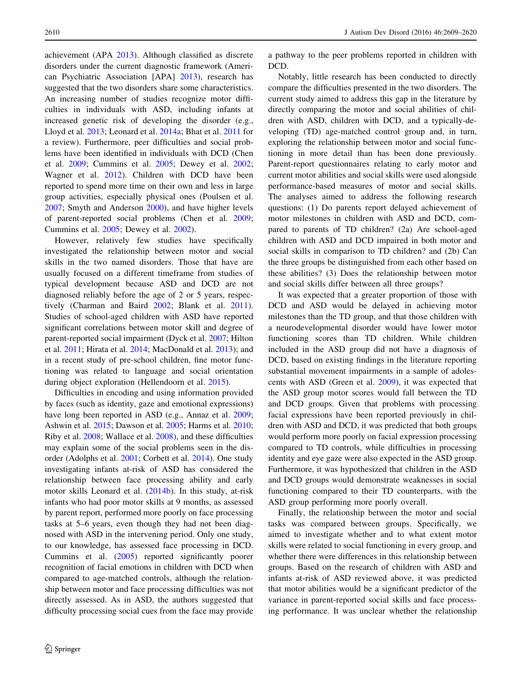achievement (APA [2013\)](#page-9-0). Although classified as discrete disorders under the current diagnostic framework (American Psychiatric Association [APA] [2013](#page-9-0)), research has suggested that the two disorders share some characteristics. An increasing number of studies recognize motor difficulties in individuals with ASD, including infants at increased genetic risk of developing the disorder (e.g., Lloyd et al. [2013](#page-10-0); Leonard et al. [2014a;](#page-10-0) Bhat et al. [2011](#page-10-0) for a review). Furthermore, peer difficulties and social problems have been identified in individuals with DCD (Chen et al. [2009](#page-10-0); Cummins et al. [2005;](#page-10-0) Dewey et al. [2002](#page-10-0); Wagner et al. [2012](#page-11-0)). Children with DCD have been reported to spend more time on their own and less in large group activities, especially physical ones (Poulsen et al. [2007;](#page-10-0) Smyth and Anderson [2000](#page-11-0)), and have higher levels of parent-reported social problems (Chen et al. [2009](#page-10-0); Cummins et al. [2005;](#page-10-0) Dewey et al. [2002](#page-10-0)).

However, relatively few studies have specifically investigated the relationship between motor and social skills in the two named disorders. Those that have are usually focused on a different timeframe from studies of typical development because ASD and DCD are not diagnosed reliably before the age of 2 or 5 years, respectively (Charman and Baird [2002](#page-10-0); Blank et al. [2011](#page-10-0)). Studies of school-aged children with ASD have reported significant correlations between motor skill and degree of parent-reported social impairment (Dyck et al. [2007](#page-10-0); Hilton et al. [2011](#page-10-0); Hirata et al. [2014](#page-10-0); MacDonald et al. [2013\)](#page-10-0); and in a recent study of pre-school children, fine motor functioning was related to language and social orientation during object exploration (Hellendoorn et al. [2015\)](#page-10-0).

Difficulties in encoding and using information provided by faces (such as identity, gaze and emotional expressions) have long been reported in ASD (e.g., Annaz et al. [2009](#page-9-0); Ashwin et al. [2015;](#page-10-0) Dawson et al. [2005;](#page-10-0) Harms et al. [2010](#page-10-0); Riby et al. [2008](#page-11-0); Wallace et al. [2008\)](#page-11-0), and these difficulties may explain some of the social problems seen in the disorder (Adolphs et al. [2001;](#page-9-0) Corbett et al. [2014](#page-10-0)). One study investigating infants at-risk of ASD has considered the relationship between face processing ability and early motor skills Leonard et al. ([2014b\)](#page-10-0). In this study, at-risk infants who had poor motor skills at 9 months, as assessed by parent report, performed more poorly on face processing tasks at 5–6 years, even though they had not been diagnosed with ASD in the intervening period. Only one study, to our knowledge, has assessed face processing in DCD. Cummins et al. ([2005\)](#page-10-0) reported significantly poorer recognition of facial emotions in children with DCD when compared to age-matched controls, although the relationship between motor and face processing difficulties was not directly assessed. As in ASD, the authors suggested that difficulty processing social cues from the face may provide a pathway to the peer problems reported in children with DCD.

Notably, little research has been conducted to directly compare the difficulties presented in the two disorders. The current study aimed to address this gap in the literature by directly comparing the motor and social abilities of children with ASD, children with DCD, and a typically-developing (TD) age-matched control group and, in turn, exploring the relationship between motor and social functioning in more detail than has been done previously. Parent-report questionnaires relating to early motor and current motor abilities and social skills were used alongside performance-based measures of motor and social skills. The analyses aimed to address the following research questions: (1) Do parents report delayed achievement of motor milestones in children with ASD and DCD, compared to parents of TD children? (2a) Are school-aged children with ASD and DCD impaired in both motor and social skills in comparison to TD children? and (2b) Can the three groups be distinguished from each other based on these abilities? (3) Does the relationship between motor and social skills differ between all three groups?

It was expected that a greater proportion of those with DCD and ASD would be delayed in achieving motor milestones than the TD group, and that those children with a neurodevelopmental disorder would have lower motor functioning scores than TD children. While children included in the ASD group did not have a diagnosis of DCD, based on existing findings in the literature reporting substantial movement impairments in a sample of adolescents with ASD (Green et al. [2009\)](#page-10-0), it was expected that the ASD group motor scores would fall between the TD and DCD groups. Given that problems with processing facial expressions have been reported previously in children with ASD and DCD, it was predicted that both groups would perform more poorly on facial expression processing compared to TD controls, while difficulties in processing identity and eye gaze were also expected in the ASD group. Furthermore, it was hypothesized that children in the ASD and DCD groups would demonstrate weaknesses in social functioning compared to their TD counterparts, with the ASD group performing more poorly overall.

Finally, the relationship between the motor and social tasks was compared between groups. Specifically, we aimed to investigate whether and to what extent motor skills were related to social functioning in every group, and whether there were differences in this relationship between groups. Based on the research of children with ASD and infants at-risk of ASD reviewed above, it was predicted that motor abilities would be a significant predictor of the variance in parent-reported social skills and face processing performance. It was unclear whether the relationship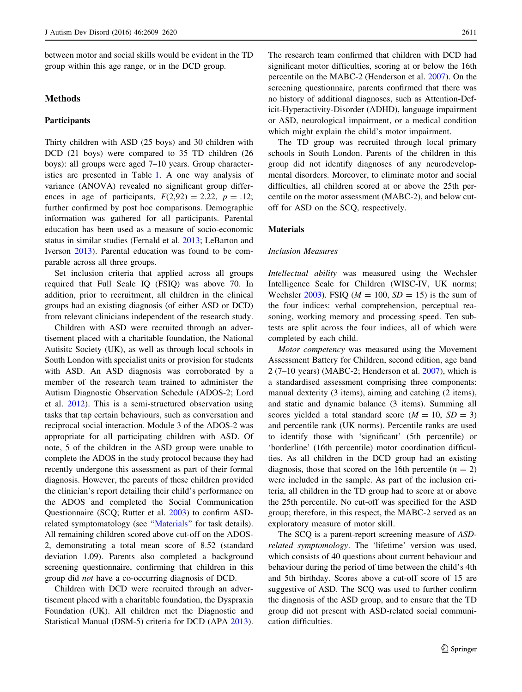between motor and social skills would be evident in the TD group within this age range, or in the DCD group.

## Methods

## **Participants**

Thirty children with ASD (25 boys) and 30 children with DCD (21 boys) were compared to 35 TD children (26 boys): all groups were aged 7–10 years. Group characteristics are presented in Table [1.](#page-3-0) A one way analysis of variance (ANOVA) revealed no significant group differences in age of participants,  $F(2,92) = 2.22$ ,  $p = .12$ ; further confirmed by post hoc comparisons. Demographic information was gathered for all participants. Parental education has been used as a measure of socio-economic status in similar studies (Fernald et al. [2013](#page-10-0); LeBarton and Iverson [2013](#page-10-0)). Parental education was found to be comparable across all three groups.

Set inclusion criteria that applied across all groups required that Full Scale IQ (FSIQ) was above 70. In addition, prior to recruitment, all children in the clinical groups had an existing diagnosis (of either ASD or DCD) from relevant clinicians independent of the research study.

Children with ASD were recruited through an advertisement placed with a charitable foundation, the National Autisitc Society (UK), as well as through local schools in South London with specialist units or provision for students with ASD. An ASD diagnosis was corroborated by a member of the research team trained to administer the Autism Diagnostic Observation Schedule (ADOS-2; Lord et al. [2012](#page-10-0)). This is a semi-structured observation using tasks that tap certain behaviours, such as conversation and reciprocal social interaction. Module 3 of the ADOS-2 was appropriate for all participating children with ASD. Of note, 5 of the children in the ASD group were unable to complete the ADOS in the study protocol because they had recently undergone this assessment as part of their formal diagnosis. However, the parents of these children provided the clinician's report detailing their child's performance on the ADOS and completed the Social Communication Questionnaire (SCQ; Rutter et al. [2003\)](#page-11-0) to confirm ASDrelated symptomatology (see ''Materials'' for task details). All remaining children scored above cut-off on the ADOS-2, demonstrating a total mean score of 8.52 (standard deviation 1.09). Parents also completed a background screening questionnaire, confirming that children in this group did not have a co-occurring diagnosis of DCD.

Children with DCD were recruited through an advertisement placed with a charitable foundation, the Dyspraxia Foundation (UK). All children met the Diagnostic and Statistical Manual (DSM-5) criteria for DCD (APA [2013](#page-9-0)).

The research team confirmed that children with DCD had significant motor difficulties, scoring at or below the 16th percentile on the MABC-2 (Henderson et al. [2007](#page-10-0)). On the screening questionnaire, parents confirmed that there was no history of additional diagnoses, such as Attention-Deficit-Hyperactivity-Disorder (ADHD), language impairment or ASD, neurological impairment, or a medical condition which might explain the child's motor impairment.

The TD group was recruited through local primary schools in South London. Parents of the children in this group did not identify diagnoses of any neurodevelopmental disorders. Moreover, to eliminate motor and social difficulties, all children scored at or above the 25th percentile on the motor assessment (MABC-2), and below cutoff for ASD on the SCQ, respectively.

## Materials

#### Inclusion Measures

Intellectual ability was measured using the Wechsler Intelligence Scale for Children (WISC-IV, UK norms; Wechsler [2003](#page-11-0)). FSIQ ( $M = 100$ ,  $SD = 15$ ) is the sum of the four indices: verbal comprehension, perceptual reasoning, working memory and processing speed. Ten subtests are split across the four indices, all of which were completed by each child.

Motor competency was measured using the Movement Assessment Battery for Children, second edition, age band  $2(7-10 \text{ years})$  (MABC-2; Henderson et al.  $2007$ ), which is a standardised assessment comprising three components: manual dexterity (3 items), aiming and catching (2 items), and static and dynamic balance (3 items). Summing all scores yielded a total standard score  $(M = 10, SD = 3)$ and percentile rank (UK norms). Percentile ranks are used to identify those with 'significant' (5th percentile) or 'borderline' (16th percentile) motor coordination difficulties. As all children in the DCD group had an existing diagnosis, those that scored on the 16th percentile  $(n = 2)$ were included in the sample. As part of the inclusion criteria, all children in the TD group had to score at or above the 25th percentile. No cut-off was specified for the ASD group; therefore, in this respect, the MABC-2 served as an exploratory measure of motor skill.

The SCQ is a parent-report screening measure of ASDrelated symptomology. The 'lifetime' version was used, which consists of 40 questions about current behaviour and behaviour during the period of time between the child's 4th and 5th birthday. Scores above a cut-off score of 15 are suggestive of ASD. The SCQ was used to further confirm the diagnosis of the ASD group, and to ensure that the TD group did not present with ASD-related social communication difficulties.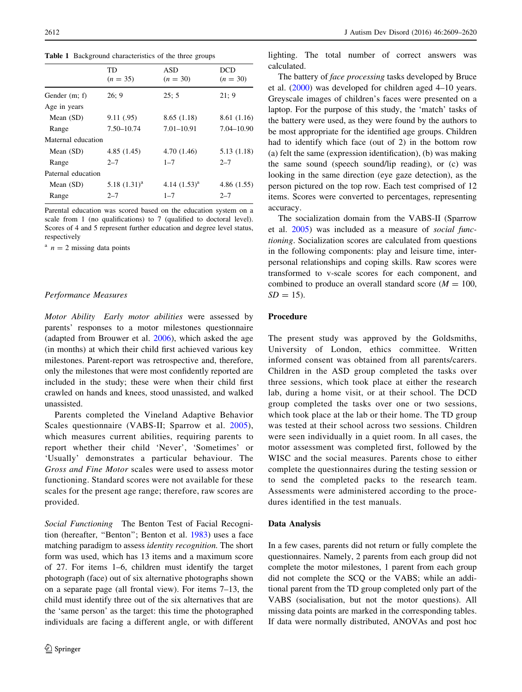<span id="page-3-0"></span>Table 1 Background characteristics of the three groups

|                    | TD<br>$(n = 35)$ | ASD<br>$(n = 30)$ | <b>DCD</b><br>$(n = 30)$ |  |
|--------------------|------------------|-------------------|--------------------------|--|
| Gender (m; f)      | 26:9             | 25:5              | 21:9                     |  |
| Age in years       |                  |                   |                          |  |
| Mean $(SD)$        | 9.11 (.95)       | 8.65(1.18)        | 8.61 (1.16)              |  |
| Range              | 7.50-10.74       | $7.01 - 10.91$    | 7.04-10.90               |  |
| Maternal education |                  |                   |                          |  |
| Mean $(SD)$        | 4.85(1.45)       | 4.70 (1.46)       | 5.13 (1.18)              |  |
| Range              | $2 - 7$          | $1 - 7$           | $2 - 7$                  |  |
| Paternal education |                  |                   |                          |  |
| Mean $(SD)$        | 5.18 $(1.31)^a$  | 4.14 $(1.53)^a$   | 4.86(1.55)               |  |
| Range              | $2 - 7$          | $1 - 7$           | $2 - 7$                  |  |
|                    |                  |                   |                          |  |

Parental education was scored based on the education system on a scale from 1 (no qualifications) to 7 (qualified to doctoral level). Scores of 4 and 5 represent further education and degree level status, respectively

<sup>a</sup>  $n = 2$  missing data points

## Performance Measures

Motor Ability Early motor abilities were assessed by parents' responses to a motor milestones questionnaire (adapted from Brouwer et al. [2006](#page-10-0)), which asked the age (in months) at which their child first achieved various key milestones. Parent-report was retrospective and, therefore, only the milestones that were most confidently reported are included in the study; these were when their child first crawled on hands and knees, stood unassisted, and walked unassisted.

Parents completed the Vineland Adaptive Behavior Scales questionnaire (VABS-II; Sparrow et al. [2005](#page-11-0)), which measures current abilities, requiring parents to report whether their child 'Never', 'Sometimes' or 'Usually' demonstrates a particular behaviour. The Gross and Fine Motor scales were used to assess motor functioning. Standard scores were not available for these scales for the present age range; therefore, raw scores are provided.

Social Functioning The Benton Test of Facial Recognition (hereafter, ''Benton''; Benton et al. [1983](#page-10-0)) uses a face matching paradigm to assess identity recognition. The short form was used, which has 13 items and a maximum score of 27. For items 1–6, children must identify the target photograph (face) out of six alternative photographs shown on a separate page (all frontal view). For items 7–13, the child must identify three out of the six alternatives that are the 'same person' as the target: this time the photographed individuals are facing a different angle, or with different

lighting. The total number of correct answers was calculated.

The battery of *face processing* tasks developed by Bruce et al. [\(2000](#page-10-0)) was developed for children aged 4–10 years. Greyscale images of children's faces were presented on a laptop. For the purpose of this study, the 'match' tasks of the battery were used, as they were found by the authors to be most appropriate for the identified age groups. Children had to identify which face (out of 2) in the bottom row (a) felt the same (expression identification), (b) was making the same sound (speech sound/lip reading), or (c) was looking in the same direction (eye gaze detection), as the person pictured on the top row. Each test comprised of 12 items. Scores were converted to percentages, representing accuracy.

The socialization domain from the VABS-II (Sparrow et al. [2005\)](#page-11-0) was included as a measure of social functioning. Socialization scores are calculated from questions in the following components: play and leisure time, interpersonal relationships and coping skills. Raw scores were transformed to v-scale scores for each component, and combined to produce an overall standard score ( $M = 100$ ,  $SD = 15$ ).

## Procedure

The present study was approved by the Goldsmiths, University of London, ethics committee. Written informed consent was obtained from all parents/carers. Children in the ASD group completed the tasks over three sessions, which took place at either the research lab, during a home visit, or at their school. The DCD group completed the tasks over one or two sessions, which took place at the lab or their home. The TD group was tested at their school across two sessions. Children were seen individually in a quiet room. In all cases, the motor assessment was completed first, followed by the WISC and the social measures. Parents chose to either complete the questionnaires during the testing session or to send the completed packs to the research team. Assessments were administered according to the procedures identified in the test manuals.

## Data Analysis

In a few cases, parents did not return or fully complete the questionnaires. Namely, 2 parents from each group did not complete the motor milestones, 1 parent from each group did not complete the SCQ or the VABS; while an additional parent from the TD group completed only part of the VABS (socialisation, but not the motor questions). All missing data points are marked in the corresponding tables. If data were normally distributed, ANOVAs and post hoc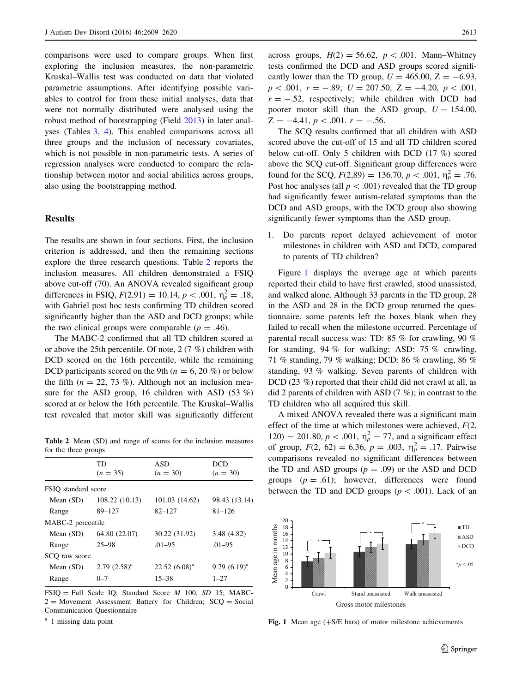comparisons were used to compare groups. When first exploring the inclusion measures, the non-parametric Kruskal–Wallis test was conducted on data that violated parametric assumptions. After identifying possible variables to control for from these initial analyses, data that were not normally distributed were analysed using the robust method of bootstrapping (Field [2013](#page-10-0)) in later analyses (Tables [3](#page-5-0), [4\)](#page-7-0). This enabled comparisons across all three groups and the inclusion of necessary covariates, which is not possible in non-parametric tests. A series of regression analyses were conducted to compare the relationship between motor and social abilities across groups, also using the bootstrapping method.

## Results

The results are shown in four sections. First, the inclusion criterion is addressed, and then the remaining sections explore the three research questions. Table 2 reports the inclusion measures. All children demonstrated a FSIQ above cut-off (70). An ANOVA revealed significant group differences in FSIQ,  $F(2,91) = 10.14$ ,  $p < .001$ ,  $\eta_p^2 = .18$ , with Gabriel post hoc tests confirming TD children scored significantly higher than the ASD and DCD groups; while the two clinical groups were comparable ( $p = .46$ ).

The MABC-2 confirmed that all TD children scored at or above the 25th percentile. Of note, 2 (7 %) children with DCD scored on the 16th percentile, while the remaining DCD participants scored on the 9th ( $n = 6, 20\%$ ) or below the fifth ( $n = 22, 73\%$ ). Although not an inclusion measure for the ASD group, 16 children with ASD (53 %) scored at or below the 16th percentile. The Kruskal–Wallis test revealed that motor skill was significantly different

Table 2 Mean (SD) and range of scores for the inclusion measures for the three groups

|                     | TD                | <b>ASD</b>       | DCD               |
|---------------------|-------------------|------------------|-------------------|
|                     | $(n = 35)$        | $(n = 30)$       | $(n = 30)$        |
| FSIO standard score |                   |                  |                   |
| Mean $(SD)$         | 108.22(10.13)     | 101.03 (14.62)   | 98.43 (13.14)     |
| Range               | 89-127            | $82 - 127$       | $81 - 126$        |
| MABC-2 percentile   |                   |                  |                   |
| Mean $(SD)$         | 64.80 (22.07)     | 30.22 (31.92)    | 3.48 (4.82)       |
| Range               | $25 - 98$         | $.01 - 9.5$      | $.01 - 9.5$       |
| SCO raw score       |                   |                  |                   |
| Mean $(SD)$         | $2.79$ $(2.58)^a$ | $22.52 (6.08)^a$ | 9.79 $(6.19)^{a}$ |
| Range               | $0 - 7$           | $15 - 38$        | $1 - 27$          |
|                     |                   |                  |                   |

 $FSIQ = Full Scale IQ; Standard Score M 100, SD 15; MABC 2 =$  Movement Assessment Battery for Children;  $SCQ =$  Social Communication Questionnaire

<sup>a</sup> 1 missing data point

across groups,  $H(2) = 56.62$ ,  $p < .001$ . Mann–Whitney tests confirmed the DCD and ASD groups scored significantly lower than the TD group,  $U = 465.00$ ,  $Z = -6.93$ ,  $p\lt.001$ ,  $r = -.89$ ;  $U = 207.50$ ,  $Z = -4.20$ ,  $p\lt.001$ .  $r = -.52$ , respectively; while children with DCD had poorer motor skill than the ASD group,  $U = 154.00$ ,  $Z = -4.41, p < .001. r = -.56.$ 

The SCQ results confirmed that all children with ASD scored above the cut-off of 15 and all TD children scored below cut-off. Only 5 children with DCD (17 %) scored above the SCQ cut-off. Significant group differences were found for the SCQ,  $F(2,89) = 136.70, p < .001, \eta_p^2 = .76$ . Post hoc analyses (all  $p < .001$ ) revealed that the TD group had significantly fewer autism-related symptoms than the DCD and ASD groups, with the DCD group also showing significantly fewer symptoms than the ASD group.

1. Do parents report delayed achievement of motor milestones in children with ASD and DCD, compared to parents of TD children?

Figure 1 displays the average age at which parents reported their child to have first crawled, stood unassisted, and walked alone. Although 33 parents in the TD group, 28 in the ASD and 28 in the DCD group returned the questionnaire, some parents left the boxes blank when they failed to recall when the milestone occurred. Percentage of parental recall success was: TD: 85 % for crawling, 90 % for standing, 94 % for walking; ASD: 75 % crawling, 71 % standing, 79 % walking; DCD: 86 % crawling, 86 % standing, 93 % walking. Seven parents of children with DCD (23 %) reported that their child did not crawl at all, as did 2 parents of children with ASD (7 %); in contrast to the TD children who all acquired this skill.

A mixed ANOVA revealed there was a significant main effect of the time at which milestones were achieved,  $F(2, \theta)$ 120) = 201.80,  $p < .001$ ,  $\eta_p^2 = 77$ , and a significant effect of group,  $F(2, 62) = 6.36$ ,  $p = .003$ ,  $\eta_p^2 = .17$ . Pairwise comparisons revealed no significant differences between the TD and ASD groups  $(p = .09)$  or the ASD and DCD groups  $(p = .61)$ ; however, differences were found between the TD and DCD groups ( $p < .001$ ). Lack of an



Fig. 1 Mean age  $(+S/E$  bars) of motor milestone achievements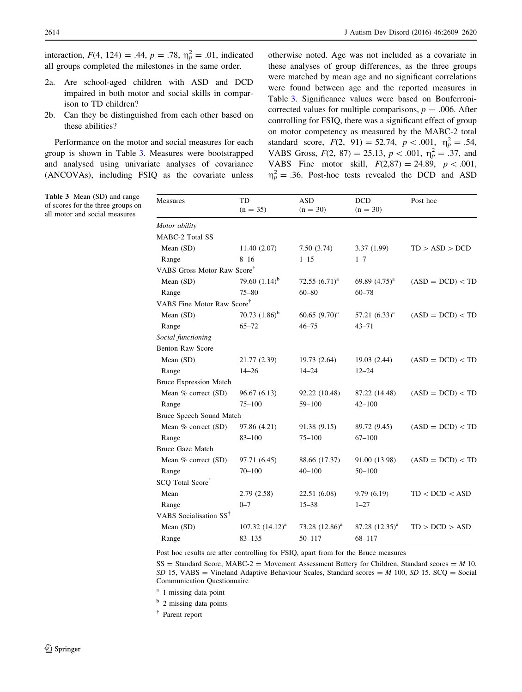<span id="page-5-0"></span>interaction,  $F(4, 124) = .44$ ,  $p = .78$ ,  $\eta_p^2 = .01$ , indicated all groups completed the milestones in the same order.

- 2a. Are school-aged children with ASD and DCD impaired in both motor and social skills in comparison to TD children?
- 2b. Can they be distinguished from each other based on these abilities?

Performance on the motor and social measures for each group is shown in Table 3. Measures were bootstrapped and analysed using univariate analyses of covariance (ANCOVAs), including FSIQ as the covariate unless

Table 3 Mean (SD) and range of scores for the three groups on all motor and social measures

otherwise noted. Age was not included as a covariate in these analyses of group differences, as the three groups were matched by mean age and no significant correlations were found between age and the reported measures in Table 3. Significance values were based on Bonferronicorrected values for multiple comparisons,  $p = .006$ . After controlling for FSIQ, there was a significant effect of group on motor competency as measured by the MABC-2 total standard score,  $F(2, 91) = 52.74$ ,  $p < .001$ ,  $\eta_p^2 = .54$ , VABS Gross,  $F(2, 87) = 25.13$ ,  $p < .001$ ,  $\eta_p^2 = .37$ , and VABS Fine motor skill,  $F(2,87) = 24.89, p < .001,$  $\eta_p^2 = .36$ . Post-hoc tests revealed the DCD and ASD

| Measures                                | TD<br>$(n = 35)$     | <b>ASD</b><br>$(n = 30)$ | <b>DCD</b><br>$(n = 30)$ | Post hoc           |  |
|-----------------------------------------|----------------------|--------------------------|--------------------------|--------------------|--|
| Motor ability                           |                      |                          |                          |                    |  |
| MABC-2 Total SS                         |                      |                          |                          |                    |  |
| Mean (SD)                               | 11.40(2.07)          | 7.50(3.74)               | 3.37(1.99)               | TD > ASD > DCD     |  |
| Range                                   | $8 - 16$             | $1 - 15$                 | $1 - 7$                  |                    |  |
| VABS Gross Motor Raw Score <sup>†</sup> |                      |                          |                          |                    |  |
| Mean (SD)                               | 79.60 $(1.14)^{b}$   | 72.55 $(6.71)^a$         | 69.89 $(4.75)^{a}$       | $(ASD = DCD) < TD$ |  |
| Range                                   | $75 - 80$            | $60 - 80$                | $60 - 78$                |                    |  |
| VABS Fine Motor Raw Score <sup>†</sup>  |                      |                          |                          |                    |  |
| Mean $(SD)$                             | 70.73 $(1.86)^b$     | $60.65$ $(9.70)^a$       | 57.21 $(6.33)^a$         | $(ASD = DCD) < TD$ |  |
| Range                                   | $65 - 72$            | $46 - 75$                | $43 - 71$                |                    |  |
| Social functioning                      |                      |                          |                          |                    |  |
| Benton Raw Score                        |                      |                          |                          |                    |  |
| Mean (SD)                               | 21.77 (2.39)         | 19.73 (2.64)             | 19.03 (2.44)             | $(ASD = DCD) < TD$ |  |
| Range                                   | $14 - 26$            | $14 - 24$                | $12 - 24$                |                    |  |
| <b>Bruce Expression Match</b>           |                      |                          |                          |                    |  |
| Mean % correct (SD)                     | 96.67(6.13)          | 92.22 (10.48)            | 87.22 (14.48)            | $(ASD = DCD) < TD$ |  |
| Range                                   | $75 - 100$           | $59 - 100$               | $42 - 100$               |                    |  |
| Bruce Speech Sound Match                |                      |                          |                          |                    |  |
| Mean % correct (SD)                     | 97.86 (4.21)         | 91.38 (9.15)             | 89.72 (9.45)             | $(ASD = DCD) < TD$ |  |
| Range                                   | $83 - 100$           | $75 - 100$               | $67 - 100$               |                    |  |
| <b>Bruce Gaze Match</b>                 |                      |                          |                          |                    |  |
| Mean % correct (SD)                     | 97.71 (6.45)         | 88.66 (17.37)            | 91.00 (13.98)            | $(ASD = DCD) < TD$ |  |
| Range                                   | $70 - 100$           | $40 - 100$               | $50 - 100$               |                    |  |
| SCQ Total Score <sup>†</sup>            |                      |                          |                          |                    |  |
| Mean                                    | 2.79(2.58)           | 22.51 (6.08)             | 9.79(6.19)               | TD < DCD < ASD     |  |
| Range                                   | $0 - 7$              | $15 - 38$                | $1 - 27$                 |                    |  |
| VABS Socialisation SS <sup>†</sup>      |                      |                          |                          |                    |  |
| Mean (SD)                               | $107.32$ $(14.12)^a$ | 73.28 $(12.86)^a$        | 87.28 $(12.35)^{a}$      | TD > DCD > ASD     |  |
| Range                                   | $83 - 135$           | $50 - 117$               | $68 - 117$               |                    |  |

Post hoc results are after controlling for FSIQ, apart from for the Bruce measures

 $SS = Standard Score$ ; MABC-2 = Movement Assessment Battery for Children, Standard scores =  $M$  10,  $SD$  15, VABS = Vineland Adaptive Behaviour Scales, Standard scores =  $M$  100,  $SD$  15. SCQ = Social Communication Questionnaire

<sup>a</sup> 1 missing data point

<sup>b</sup> 2 missing data points

- Parent report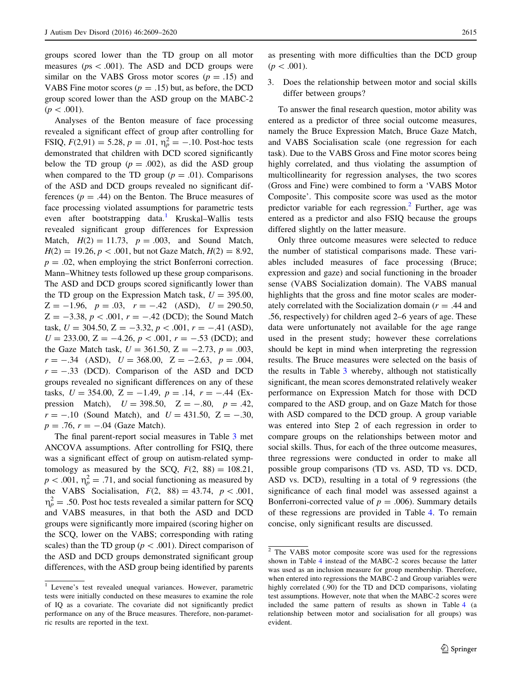groups scored lower than the TD group on all motor measures ( $ps\lt .001$ ). The ASD and DCD groups were similar on the VABS Gross motor scores ( $p = .15$ ) and VABS Fine motor scores ( $p = .15$ ) but, as before, the DCD group scored lower than the ASD group on the MABC-2  $(p<.001)$ .

Analyses of the Benton measure of face processing revealed a significant effect of group after controlling for FSIQ,  $F(2,91) = 5.28$ ,  $p = .01$ ,  $\eta_p^2 = -.10$ . Post-hoc tests demonstrated that children with DCD scored significantly below the TD group  $(p = .002)$ , as did the ASD group when compared to the TD group ( $p = .01$ ). Comparisons of the ASD and DCD groups revealed no significant differences ( $p = .44$ ) on the Benton. The Bruce measures of face processing violated assumptions for parametric tests even after bootstrapping data.<sup>1</sup> Kruskal–Wallis tests revealed significant group differences for Expression Match,  $H(2) = 11.73$ ,  $p = .003$ , and Sound Match,  $H(2) = 19.26, p < .001$ , but not Gaze Match,  $H(2) = 8.92$ ,  $p = .02$ , when employing the strict Bonferroni correction. Mann–Whitney tests followed up these group comparisons. The ASD and DCD groups scored significantly lower than the TD group on the Expression Match task,  $U = 395.00$ ,  $Z = -1.96$ ,  $p = .03$ ,  $r = -.42$  (ASD),  $U = 290.50$ ,  $Z = -3.38, p < .001, r = -.42$  (DCD); the Sound Match task,  $U = 304.50$ ,  $Z = -3.32$ ,  $p < .001$ ,  $r = -.41$  (ASD),  $U = 233.00, Z = -4.26, p < .001, r = -.53$  (DCD); and the Gaze Match task,  $U = 361.50$ ,  $Z = -2.73$ ,  $p = .003$ ,  $r = -.34$  (ASD),  $U = 368.00$ ,  $Z = -2.63$ ,  $p = .004$ ,  $r = -.33$  (DCD). Comparison of the ASD and DCD groups revealed no significant differences on any of these tasks,  $U = 354.00$ ,  $Z = -1.49$ ,  $p = .14$ ,  $r = -.44$  (Expression Match),  $U = 398.50$ ,  $Z = -.80$ ,  $p = .42$ ,  $r = -.10$  (Sound Match), and  $U = 431.50$ ,  $Z = -.30$ ,  $p = .76$ ,  $r = -.04$  (Gaze Match).

The final parent-report social measures in Table [3](#page-5-0) met ANCOVA assumptions. After controlling for FSIQ, there was a significant effect of group on autism-related symptomology as measured by the SCQ,  $F(2, 88) = 108.21$ ,  $p < .001$ ,  $\eta_p^2 = .71$ , and social functioning as measured by the VABS Socialisation,  $F(2, 88) = 43.74, p < .001$ ,  $\eta_p^2 = .50$ . Post hoc tests revealed a similar pattern for SCQ and VABS measures, in that both the ASD and DCD groups were significantly more impaired (scoring higher on the SCQ, lower on the VABS; corresponding with rating scales) than the TD group ( $p\lt .001$ ). Direct comparison of the ASD and DCD groups demonstrated significant group differences, with the ASD group being identified by parents as presenting with more difficulties than the DCD group  $(p\,<\,001)$ .

3. Does the relationship between motor and social skills differ between groups?

To answer the final research question, motor ability was entered as a predictor of three social outcome measures, namely the Bruce Expression Match, Bruce Gaze Match, and VABS Socialisation scale (one regression for each task). Due to the VABS Gross and Fine motor scores being highly correlated, and thus violating the assumption of multicollinearity for regression analyses, the two scores (Gross and Fine) were combined to form a 'VABS Motor Composite'. This composite score was used as the motor predictor variable for each regression.<sup>2</sup> Further, age was entered as a predictor and also FSIQ because the groups differed slightly on the latter measure.

Only three outcome measures were selected to reduce the number of statistical comparisons made. These variables included measures of face processing (Bruce; expression and gaze) and social functioning in the broader sense (VABS Socialization domain). The VABS manual highlights that the gross and fine motor scales are moderately correlated with the Socialization domain ( $r = .44$  and .56, respectively) for children aged 2–6 years of age. These data were unfortunately not available for the age range used in the present study; however these correlations should be kept in mind when interpreting the regression results. The Bruce measures were selected on the basis of the results in Table [3](#page-5-0) whereby, although not statistically significant, the mean scores demonstrated relatively weaker performance on Expression Match for those with DCD compared to the ASD group, and on Gaze Match for those with ASD compared to the DCD group. A group variable was entered into Step 2 of each regression in order to compare groups on the relationships between motor and social skills. Thus, for each of the three outcome measures, three regressions were conducted in order to make all possible group comparisons (TD vs. ASD, TD vs. DCD, ASD vs. DCD), resulting in a total of 9 regressions (the significance of each final model was assessed against a Bonferroni-corrected value of  $p = .006$ ). Summary details of these regressions are provided in Table [4.](#page-7-0) To remain concise, only significant results are discussed.

<sup>1</sup> Levene's test revealed unequal variances. However, parametric tests were initially conducted on these measures to examine the role of IQ as a covariate. The covariate did not significantly predict performance on any of the Bruce measures. Therefore, non-parametric results are reported in the text.

<sup>2</sup> The VABS motor composite score was used for the regressions shown in Table [4](#page-7-0) instead of the MABC-2 scores because the latter was used as an inclusion measure for group membership. Therefore, when entered into regressions the MABC-2 and Group variables were highly correlated (.90) for the TD and DCD comparisons, violating test assumptions. However, note that when the MABC-2 scores were included the same pattern of results as shown in Table [4](#page-7-0) (a relationship between motor and socialisation for all groups) was evident.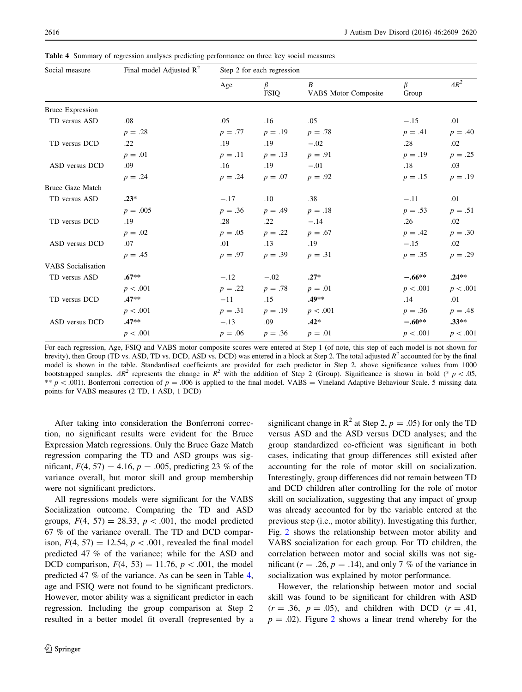| Social measure            | Final model Adjusted $R^2$ | Step 2 for each regression |                        |                                                 |                  |              |
|---------------------------|----------------------------|----------------------------|------------------------|-------------------------------------------------|------------------|--------------|
|                           |                            | Age                        | $\beta$<br><b>FSIQ</b> | $\boldsymbol{B}$<br><b>VABS</b> Motor Composite | $\beta$<br>Group | $\Delta R^2$ |
| <b>Bruce Expression</b>   |                            |                            |                        |                                                 |                  |              |
| TD versus ASD             | .08                        | .05                        | .16                    | .05                                             | $-.15$           | .01          |
|                           | $p=.28$                    | $p=.77$                    | $p=.19$                | $p=.78$                                         | $p = .41$        | $p = .40$    |
| TD versus DCD             | .22                        | .19                        | .19                    | $-.02$                                          | .28              | .02          |
|                           | $p = .01$                  | $p=.11$                    | $p=.13$                | $p = .91$                                       | $p=.19$          | $p=.25$      |
| ASD versus DCD            | .09                        | .16                        | .19                    | $-.01$                                          | .18              | .03          |
|                           | $p=.24$                    | $p=.24$                    | $p = .07$              | $p = .92$                                       | $p=.15$          | $p=.19$      |
| Bruce Gaze Match          |                            |                            |                        |                                                 |                  |              |
| TD versus ASD             | $.23*$                     | $-.17$                     | .10                    | .38                                             | $-.11$           | .01          |
|                           | $p=.005$                   | $p=.36$                    | $p = .49$              | $p=.18$                                         | $p=.53$          | $p=.51$      |
| TD versus DCD             | .19                        | .28                        | .22                    | $-.14$                                          | .26              | .02          |
|                           | $p = .02$                  | $p=.05$                    | $p=.22$                | $p=.67$                                         | $p = .42$        | $p=.30$      |
| ASD versus DCD            | .07                        | .01                        | .13                    | .19                                             | $-.15$           | .02          |
|                           | $p=.45$                    | $p = .97$                  | $p = .39$              | $p=.31$                                         | $p=.35$          | $p = .29$    |
| <b>VABS</b> Socialisation |                            |                            |                        |                                                 |                  |              |
| TD versus ASD             | $.67**$                    | $-.12$                     | $-.02$                 | $.27*$                                          | $-.66**$         | $.24**$      |
|                           | p < .001                   | $p=.22$                    | $p=.78$                | $p = .01$                                       | p < .001         | p < .001     |
| TD versus DCD             | $.47**$                    | $-11$                      | .15                    | .49**                                           | .14              | .01          |
|                           | p < .001                   | $p=.31$                    | $p=.19$                | p < .001                                        | $p = .36$        | $p = .48$    |
| ASD versus DCD            | $.47**$                    | $-.13$                     | .09                    | $.42*$                                          | $-.60**$         | $.33**$      |
|                           | p < .001                   | $p = .06$                  | $p = .36$              | $p = .01$                                       | p < .001         | p < .001     |

<span id="page-7-0"></span>Table 4 Summary of regression analyses predicting performance on three key social measures

For each regression, Age, FSIQ and VABS motor composite scores were entered at Step 1 (of note, this step of each model is not shown for brevity), then Group (TD vs. ASD, TD vs. DCD, ASD vs. DCD) was entered in a block at Step 2. The total adjusted  $R<sup>2</sup>$  accounted for by the final model is shown in the table. Standardised coefficients are provided for each predictor in Step 2, above significance values from 1000 bootstrapped samples.  $\Delta R^2$  represents the change in  $R^2$  with the addition of Step 2 (Group). Significance is shown in bold (\* p < .05, \*\*  $p < .001$ ). Bonferroni correction of  $p = .006$  is applied to the final model. VABS = Vineland Adaptive Behaviour Scale. 5 missing data points for VABS measures (2 TD, 1 ASD, 1 DCD)

After taking into consideration the Bonferroni correction, no significant results were evident for the Bruce Expression Match regressions. Only the Bruce Gaze Match regression comparing the TD and ASD groups was significant,  $F(4, 57) = 4.16$ ,  $p = .005$ , predicting 23 % of the variance overall, but motor skill and group membership were not significant predictors.

All regressions models were significant for the VABS Socialization outcome. Comparing the TD and ASD groups,  $F(4, 57) = 28.33$ ,  $p < .001$ , the model predicted 67 % of the variance overall. The TD and DCD comparison,  $F(4, 57) = 12.54, p < .001$ , revealed the final model predicted 47 % of the variance; while for the ASD and DCD comparison,  $F(4, 53) = 11.76$ ,  $p < .001$ , the model predicted 47 % of the variance. As can be seen in Table 4, age and FSIQ were not found to be significant predictors. However, motor ability was a significant predictor in each regression. Including the group comparison at Step 2 resulted in a better model fit overall (represented by a significant change in  $\mathbb{R}^2$  at Step 2,  $p = .05$ ) for only the TD versus ASD and the ASD versus DCD analyses; and the group standardized co-efficient was significant in both cases, indicating that group differences still existed after accounting for the role of motor skill on socialization. Interestingly, group differences did not remain between TD and DCD children after controlling for the role of motor skill on socialization, suggesting that any impact of group was already accounted for by the variable entered at the previous step (i.e., motor ability). Investigating this further, Fig. [2](#page-8-0) shows the relationship between motor ability and VABS socialization for each group. For TD children, the correlation between motor and social skills was not significant ( $r = .26$ ,  $p = .14$ ), and only 7 % of the variance in socialization was explained by motor performance.

However, the relationship between motor and social skill was found to be significant for children with ASD  $(r = .36, p = .05)$ , and children with DCD  $(r = .41,$  $p = .02$  $p = .02$ ). Figure 2 shows a linear trend whereby for the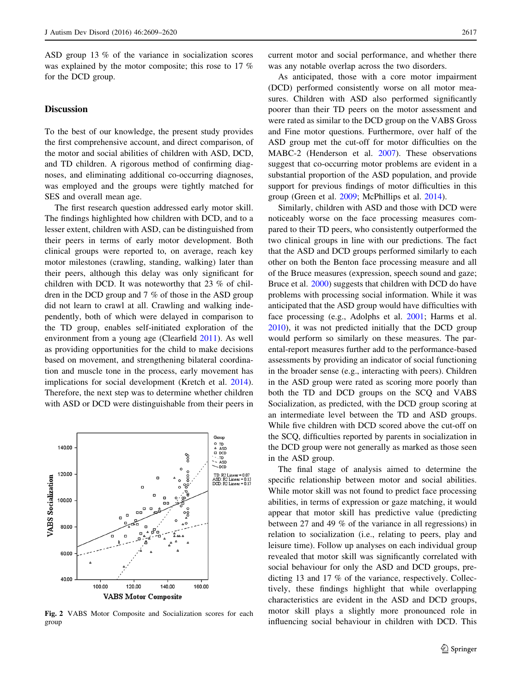<span id="page-8-0"></span>ASD group 13 % of the variance in socialization scores was explained by the motor composite; this rose to 17 % for the DCD group.

## Discussion

To the best of our knowledge, the present study provides the first comprehensive account, and direct comparison, of the motor and social abilities of children with ASD, DCD, and TD children. A rigorous method of confirming diagnoses, and eliminating additional co-occurring diagnoses, was employed and the groups were tightly matched for SES and overall mean age.

The first research question addressed early motor skill. The findings highlighted how children with DCD, and to a lesser extent, children with ASD, can be distinguished from their peers in terms of early motor development. Both clinical groups were reported to, on average, reach key motor milestones (crawling, standing, walking) later than their peers, although this delay was only significant for children with DCD. It was noteworthy that 23 % of children in the DCD group and 7 % of those in the ASD group did not learn to crawl at all. Crawling and walking independently, both of which were delayed in comparison to the TD group, enables self-initiated exploration of the environment from a young age (Clearfield [2011](#page-10-0)). As well as providing opportunities for the child to make decisions based on movement, and strengthening bilateral coordination and muscle tone in the process, early movement has implications for social development (Kretch et al. [2014](#page-10-0)). Therefore, the next step was to determine whether children with ASD or DCD were distinguishable from their peers in



Fig. 2 VABS Motor Composite and Socialization scores for each group

current motor and social performance, and whether there was any notable overlap across the two disorders.

As anticipated, those with a core motor impairment (DCD) performed consistently worse on all motor measures. Children with ASD also performed significantly poorer than their TD peers on the motor assessment and were rated as similar to the DCD group on the VABS Gross and Fine motor questions. Furthermore, over half of the ASD group met the cut-off for motor difficulties on the MABC-2 (Henderson et al. [2007\)](#page-10-0). These observations suggest that co-occurring motor problems are evident in a substantial proportion of the ASD population, and provide support for previous findings of motor difficulties in this group (Green et al. [2009;](#page-10-0) McPhillips et al. [2014](#page-10-0)).

Similarly, children with ASD and those with DCD were noticeably worse on the face processing measures compared to their TD peers, who consistently outperformed the two clinical groups in line with our predictions. The fact that the ASD and DCD groups performed similarly to each other on both the Benton face processing measure and all of the Bruce measures (expression, speech sound and gaze; Bruce et al. [2000](#page-10-0)) suggests that children with DCD do have problems with processing social information. While it was anticipated that the ASD group would have difficulties with face processing (e.g., Adolphs et al. [2001](#page-9-0); Harms et al. [2010](#page-10-0)), it was not predicted initially that the DCD group would perform so similarly on these measures. The parental-report measures further add to the performance-based assessments by providing an indicator of social functioning in the broader sense (e.g., interacting with peers). Children in the ASD group were rated as scoring more poorly than both the TD and DCD groups on the SCQ and VABS Socialization, as predicted, with the DCD group scoring at an intermediate level between the TD and ASD groups. While five children with DCD scored above the cut-off on the SCQ, difficulties reported by parents in socialization in the DCD group were not generally as marked as those seen in the ASD group.

The final stage of analysis aimed to determine the specific relationship between motor and social abilities. While motor skill was not found to predict face processing abilities, in terms of expression or gaze matching, it would appear that motor skill has predictive value (predicting between 27 and 49 % of the variance in all regressions) in relation to socialization (i.e., relating to peers, play and leisure time). Follow up analyses on each individual group revealed that motor skill was significantly correlated with social behaviour for only the ASD and DCD groups, predicting 13 and 17 % of the variance, respectively. Collectively, these findings highlight that while overlapping characteristics are evident in the ASD and DCD groups, motor skill plays a slightly more pronounced role in influencing social behaviour in children with DCD. This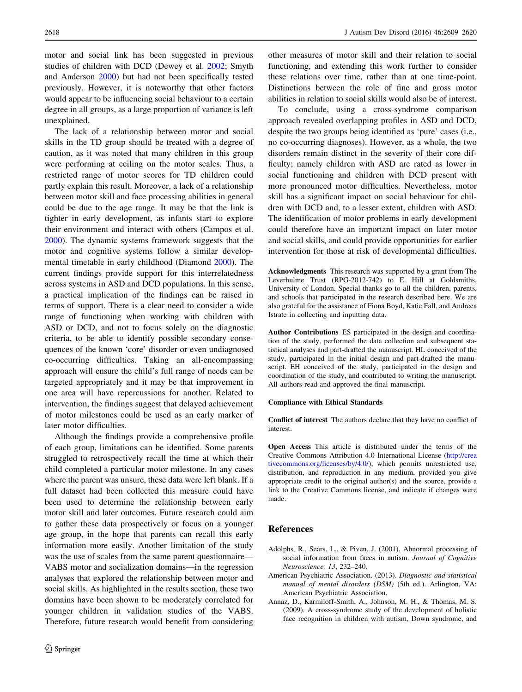<span id="page-9-0"></span>motor and social link has been suggested in previous studies of children with DCD (Dewey et al. [2002;](#page-10-0) Smyth and Anderson [2000\)](#page-11-0) but had not been specifically tested previously. However, it is noteworthy that other factors would appear to be influencing social behaviour to a certain degree in all groups, as a large proportion of variance is left unexplained.

The lack of a relationship between motor and social skills in the TD group should be treated with a degree of caution, as it was noted that many children in this group were performing at ceiling on the motor scales. Thus, a restricted range of motor scores for TD children could partly explain this result. Moreover, a lack of a relationship between motor skill and face processing abilities in general could be due to the age range. It may be that the link is tighter in early development, as infants start to explore their environment and interact with others (Campos et al. [2000\)](#page-10-0). The dynamic systems framework suggests that the motor and cognitive systems follow a similar developmental timetable in early childhood (Diamond [2000](#page-10-0)). The current findings provide support for this interrelatedness across systems in ASD and DCD populations. In this sense, a practical implication of the findings can be raised in terms of support. There is a clear need to consider a wide range of functioning when working with children with ASD or DCD, and not to focus solely on the diagnostic criteria, to be able to identify possible secondary consequences of the known 'core' disorder or even undiagnosed co-occurring difficulties. Taking an all-encompassing approach will ensure the child's full range of needs can be targeted appropriately and it may be that improvement in one area will have repercussions for another. Related to intervention, the findings suggest that delayed achievement of motor milestones could be used as an early marker of later motor difficulties.

Although the findings provide a comprehensive profile of each group, limitations can be identified. Some parents struggled to retrospectively recall the time at which their child completed a particular motor milestone. In any cases where the parent was unsure, these data were left blank. If a full dataset had been collected this measure could have been used to determine the relationship between early motor skill and later outcomes. Future research could aim to gather these data prospectively or focus on a younger age group, in the hope that parents can recall this early information more easily. Another limitation of the study was the use of scales from the same parent questionnaire— VABS motor and socialization domains—in the regression analyses that explored the relationship between motor and social skills. As highlighted in the results section, these two domains have been shown to be moderately correlated for younger children in validation studies of the VABS. Therefore, future research would benefit from considering

other measures of motor skill and their relation to social functioning, and extending this work further to consider these relations over time, rather than at one time-point. Distinctions between the role of fine and gross motor abilities in relation to social skills would also be of interest.

To conclude, using a cross-syndrome comparison approach revealed overlapping profiles in ASD and DCD, despite the two groups being identified as 'pure' cases (i.e., no co-occurring diagnoses). However, as a whole, the two disorders remain distinct in the severity of their core difficulty; namely children with ASD are rated as lower in social functioning and children with DCD present with more pronounced motor difficulties. Nevertheless, motor skill has a significant impact on social behaviour for children with DCD and, to a lesser extent, children with ASD. The identification of motor problems in early development could therefore have an important impact on later motor and social skills, and could provide opportunities for earlier intervention for those at risk of developmental difficulties.

Acknowledgments This research was supported by a grant from The Leverhulme Trust (RPG-2012-742) to E. Hill at Goldsmiths, University of London. Special thanks go to all the children, parents, and schools that participated in the research described here. We are also grateful for the assistance of Fiona Boyd, Katie Fall, and Andreea Istrate in collecting and inputting data.

Author Contributions ES participated in the design and coordination of the study, performed the data collection and subsequent statistical analyses and part-drafted the manuscript. HL conceived of the study, participated in the initial design and part-drafted the manuscript. EH conceived of the study, participated in the design and coordination of the study, and contributed to writing the manuscript. All authors read and approved the final manuscript.

#### Compliance with Ethical Standards

Conflict of interest The authors declare that they have no conflict of interest.

Open Access This article is distributed under the terms of the Creative Commons Attribution 4.0 International License ([http://crea](http://creativecommons.org/licenses/by/4.0/) [tivecommons.org/licenses/by/4.0/\)](http://creativecommons.org/licenses/by/4.0/), which permits unrestricted use, distribution, and reproduction in any medium, provided you give appropriate credit to the original author(s) and the source, provide a link to the Creative Commons license, and indicate if changes were made.

## References

- Adolphs, R., Sears, L., & Piven, J. (2001). Abnormal processing of social information from faces in autism. Journal of Cognitive Neuroscience, 13, 232–240.
- American Psychiatric Association. (2013). Diagnostic and statistical manual of mental disorders (DSM) (5th ed.). Arlington, VA: American Psychiatric Association.
- Annaz, D., Karmiloff-Smith, A., Johnson, M. H., & Thomas, M. S. (2009). A cross-syndrome study of the development of holistic face recognition in children with autism, Down syndrome, and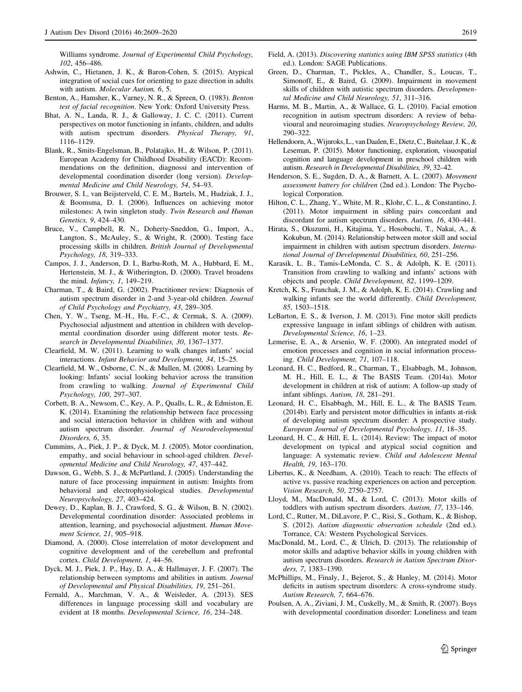<span id="page-10-0"></span>Williams syndrome. Journal of Experimental Child Psychology, 102, 456–486.

- Ashwin, C., Hietanen, J. K., & Baron-Cohen, S. (2015). Atypical integration of social cues for orienting to gaze direction in adults with autism. Molecular Autism, 6, 5.
- Benton, A., Hamsher, K., Varney, N. R., & Spreen, O. (1983). Benton test of facial recognition. New York: Oxford University Press.
- Bhat, A. N., Landa, R. J., & Galloway, J. C. C. (2011). Current perspectives on motor functioning in infants, children, and adults with autism spectrum disorders. Physical Therapy, 91, 1116–1129.
- Blank, R., Smits-Engelsman, B., Polatajko, H., & Wilson, P. (2011). European Academy for Childhood Disability (EACD): Recommendations on the definition, diagnossi and intervention of developmental coordination disorder (long version). Developmental Medicine and Child Neurology, 54, 54–93.
- Brouwer, S. I., van Beijsterveld, C. E. M., Bartels, M., Hudziak, J. J., & Boomsma, D. I. (2006). Influences on achieving motor milestones: A twin singleton study. Twin Research and Human Genetics, 9, 424–430.
- Bruce, V., Campbell, R. N., Doherty-Sneddon, G., Import, A., Langton, S., McAuley, S., & Wright, R. (2000). Testing face processing skills in children. British Journal of Developmental Psychology, 18, 319–333.
- Campos, J. J., Anderson, D. I., Barbu-Roth, M. A., Hubbard, E. M., Hertenstein, M. J., & Witherington, D. (2000). Travel broadens the mind. Infancy, 1, 149–219.
- Charman, T., & Baird, G. (2002). Practitioner review: Diagnosis of autism spectrum disorder in 2-and 3-year-old children. Journal of Child Psychology and Psychiatry, 43, 289–305.
- Chen, Y. W., Tseng, M.-H., Hu, F.-C., & Cermak, S. A. (2009). Psychosocial adjustment and attention in children with developmental coordination disorder using different motor tests. Research in Developmental Disabilities, 30, 1367–1377.
- Clearfield, M. W. (2011). Learning to walk changes infants' social interactions. Infant Behavior and Development, 34, 15–25.
- Clearfield, M. W., Osborne, C. N., & Mullen, M. (2008). Learning by looking: Infants' social looking behavior across the transition from crawling to walking. Journal of Experimental Child Psychology, 100, 297–307.
- Corbett, B. A., Newsom, C., Key, A. P., Qualls, L. R., & Edmiston, E. K. (2014). Examining the relationship between face processing and social interaction behavior in children with and without autism spectrum disorder. Journal of Neurodevelopmental Disorders, 6, 35.
- Cummins, A., Piek, J. P., & Dyck, M. J. (2005). Motor coordination, empathy, and social behaviour in school-aged children. Developmental Medicine and Child Neurology, 47, 437–442.
- Dawson, G., Webb, S. J., & McPartland, J. (2005). Understanding the nature of face processing impairment in autism: Insights from behavioral and electrophysiological studies. Developmental Neuropsychology, 27, 403–424.
- Dewey, D., Kaplan, B. J., Crawford, S. G., & Wilson, B. N. (2002). Developmental coordination disorder: Associated problems in attention, learning, and psychosocial adjustment. Human Movement Science, 21, 905–918.
- Diamond, A. (2000). Close interrelation of motor development and cognitive development and of the cerebellum and prefrontal cortex. Child Development, 1, 44–56.
- Dyck, M. J., Piek, J. P., Hay, D. A., & Hallmayer, J. F. (2007). The relationship between symptoms and abilities in autism. Journal of Developmental and Physical Disabilities, 19, 251–261.
- Fernald, A., Marchman, V. A., & Weisleder, A. (2013). SES differences in language processing skill and vocabulary are evident at 18 months. Developmental Science, 16, 234–248.
- Field, A. (2013). Discovering statistics using IBM SPSS statistics (4th ed.). London: SAGE Publications.
- Green, D., Charman, T., Pickles, A., Chandler, S., Loucas, T., Simonoff, E., & Baird, G. (2009). Impairment in movement skills of children with autistic spectrum disorders. Developmental Medicine and Child Neurology, 51, 311–316.
- Harms, M. B., Martin, A., & Wallace, G. L. (2010). Facial emotion recognition in autism spectrum disorders: A review of behavioural and neuroimaging studies. Neuropsychology Review, 20, 290–322.
- Hellendoorn, A.,Wijnroks, L., van Daalen, E., Dietz, C., Buitelaar, J. K., & Leseman, P. (2015). Motor functioning, exploration, visuospatial cognition and language development in preschool children with autism. Research in Developmental Disabilities, 39, 32–42.
- Henderson, S. E., Sugden, D. A., & Barnett, A. L. (2007). Movement assessment battery for children (2nd ed.). London: The Psychological Corporation.
- Hilton, C. L., Zhang, Y., White, M. R., Klohr, C. L., & Constantino, J. (2011). Motor impairment in sibling pairs concordant and discordant for autism spectrum disorders. Autism, 16, 430–441.
- Hirata, S., Okuzumi, H., Kitajima, Y., Hosobuchi, T., Nakai, A., & Kokubun, M. (2014). Relationship between motor skill and social impairment in children with autism spectrum disorders. International Journal of Developmental Disabilities, 60, 251–256.
- Karasik, L. B., Tamis-LeMonda, C. S., & Adolph, K. E. (2011). Transition from crawling to walking and infants' actions with objects and people. Child Development, 82, 1199–1209.
- Kretch, K. S., Franchak, J. M., & Adolph, K. E. (2014). Crawling and walking infants see the world differently. Child Development, 85, 1503–1518.
- LeBarton, E. S., & Iverson, J. M. (2013). Fine motor skill predicts expressive language in infant siblings of children with autism. Developmental Science, 16, 1–23.
- Lemerise, E. A., & Arsenio, W. F. (2000). An integrated model of emotion processes and cognition in social information processing. Child Development, 71, 107–118.
- Leonard, H. C., Bedford, R., Charman, T., Elsabbagh, M., Johnson, M. H., Hill, E. L., & The BASIS Team. (2014a). Motor development in children at risk of autism: A follow-up study of infant siblings. Autism, 18, 281–291.
- Leonard, H. C., Elsabbagh, M., Hill, E. L., & The BASIS Team. (2014b). Early and persistent motor difficulties in infants at-risk of developing autism spectrum disorder: A prospective study. European Journal of Developmental Psychology, 11, 18–35.
- Leonard, H. C., & Hill, E. L. (2014). Review: The impact of motor development on typical and atypical social cognition and language: A systematic review. Child and Adolescent Mental Health, 19, 163–170.
- Libertus, K., & Needham, A. (2010). Teach to reach: The effects of active vs. passive reaching experiences on action and perception. Vision Research, 50, 2750–2757.
- Lloyd, M., MacDonald, M., & Lord, C. (2013). Motor skills of toddlers with autism spectrum disorders. Autism, 17, 133–146.
- Lord, C., Rutter, M., DiLavore, P. C., Risi, S., Gotham, K., & Bishop, S. (2012). Autism diagnostic observation schedule (2nd ed.). Torrance, CA: Western Psychological Services.
- MacDonald, M., Lord, C., & Ulrich, D. (2013). The relationship of motor skills and adaptive behavior skills in young children with autism spectrum disorders. Research in Autism Spectrum Disorders, 7, 1383–1390.
- McPhillips, M., Finaly, J., Bejerot, S., & Hanley, M. (2014). Motor deficits in autism spectrum disorders: A cross-syndrome study. Autism Research, 7, 664–676.
- Poulsen, A. A., Ziviani, J. M., Cuskelly, M., & Smith, R. (2007). Boys with developmental coordination disorder: Loneliness and team